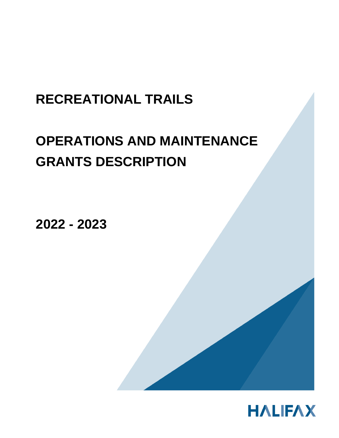## **RECREATIONAL TRAILS**

# **OPERATIONS AND MAINTENANCE GRANTS DESCRIPTION**

**2022 - 2023**

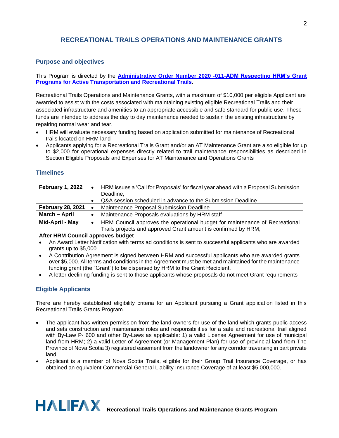## **RECREATIONAL TRAILS OPERATIONS AND MAINTENANCE GRANTS**

#### **Purpose and objectives**

This Program is directed by the **[Administrative Order Number 2020 -011-ADM Respecting HRM's Grant](https://www.halifax.ca/sites/default/files/documents/city-hall/legislation-by-laws/2020-011-ADM.pdf)  [Programs for Active Transportation and Recreational Trails](https://www.halifax.ca/sites/default/files/documents/city-hall/legislation-by-laws/2020-011-ADM.pdf)**.

Recreational Trails Operations and Maintenance Grants, with a maximum of \$10,000 per eligible Applicant are awarded to assist with the costs associated with maintaining existing eligible Recreational Trails and their associated infrastructure and amenities to an appropriate accessible and safe standard for public use. These funds are intended to address the day to day maintenance needed to sustain the existing infrastructure by repairing normal wear and tear.

- HRM will evaluate necessary funding based on application submitted for maintenance of Recreational trails located on HRM land
- Applicants applying for a Recreational Trails Grant and/or an AT Maintenance Grant are also eligible for up to \$2,000 for operational expenses directly related to trail maintenance responsibilities as described in Section Eligible Proposals and Expenses for AT Maintenance and Operations Grants

#### **Timelines**

| February 1, 2022                                                                                       | HRM issues a 'Call for Proposals' for fiscal year ahead with a Proposal Submission<br>$\bullet$ |
|--------------------------------------------------------------------------------------------------------|-------------------------------------------------------------------------------------------------|
|                                                                                                        | Deadline;                                                                                       |
|                                                                                                        | Q&A session scheduled in advance to the Submission Deadline                                     |
| <b>February 28, 2021</b>                                                                               | Maintenance Proposal Submission Deadline                                                        |
| March - April                                                                                          | Maintenance Proposals evaluations by HRM staff                                                  |
| Mid-April - May                                                                                        | HRM Council approves the operational budget for maintenance of Recreational<br>٠                |
|                                                                                                        | Trails projects and approved Grant amount is confirmed by HRM;                                  |
| After HRM Council approves budget                                                                      |                                                                                                 |
| An Award Lotter Notification with terms ad conditions is sent to successful applicants who are awarded |                                                                                                 |

- An Award Letter Notification with terms ad conditions is sent to successful applicants who are awarded grants up to \$5,000
- A Contribution Agreement is signed between HRM and successful applicants who are awarded grants over \$5,000. All terms and conditions in the Agreement must be met and maintained for the maintenance funding grant (the "Grant") to be dispersed by HRM to the Grant Recipient.
- A letter declining funding is sent to those applicants whose proposals do not meet Grant requirements

## **Eligible Applicants**

There are hereby established eligibility criteria for an Applicant pursuing a Grant application listed in this Recreational Trails Grants Program.

- The applicant has written permission from the land owners for use of the land which grants public access and sets construction and maintenance roles and responsibilities for a safe and recreational trail aligned with By-Law P- 600 and other By-Laws as applicable: 1) a valid License Agreement for use of municipal land from HRM; 2) a valid Letter of Agreement (or Management Plan) for use of provincial land from The Province of Nova Scotia 3) registered easement from the landowner for any corridor traversing in part private land
- Applicant is a member of Nova Scotia Trails, eligible for their Group Trail Insurance Coverage, or has obtained an equivalent Commercial General Liability Insurance Coverage of at least \$5,000,000.

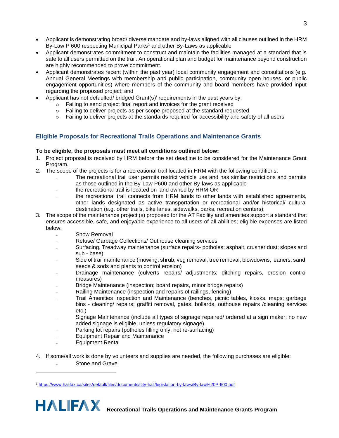- Applicant is demonstrating broad/ diverse mandate and by-laws aligned with all clauses outlined in the HRM By-Law P 600 respecting Municipal Parks<sup>1</sup> and other By-Laws as applicable
- Applicant demonstrates commitment to construct and maintain the facilities managed at a standard that is safe to all users permitted on the trail. An operational plan and budget for maintenance beyond construction are highly recommended to prove commitment.
- Applicant demonstrates recent (within the past year) local community engagement and consultations (e.g. Annual General Meetings with membership and public participation, community open houses, or public engagement opportunities) where members of the community and board members have provided input regarding the proposed project; and
- Applicant has not defaulted/ bridged Grant(s)' requirements in the past years by:
	- o Failing to send project final report and invoices for the grant received
	- o Failing to deliver projects as per scope proposed at the standard requested
	- $\circ$  Failing to deliver projects at the standards required for accessibility and safety of all users

#### **Eligible Proposals for Recreational Trails Operations and Maintenance Grants**

#### **To be eligible, the proposals must meet all conditions outlined below:**

- 1. Project proposal is received by HRM before the set deadline to be considered for the Maintenance Grant Program.
- 2. The scope of the projects is for a recreational trail located in HRM with the following conditions:
	- ₋ The recreational trail user permits restrict vehicle use and has similar restrictions and permits as those outlined in the By-Law P600 and other By-laws as applicable
	- ₋ the recreational trail is located on land owned by HRM OR
	- the recreational trail connects from HRM lands to other lands with established agreements, other lands designated as active transportation or recreational and/or historical/ cultural destination (e.g. other trails, bike lanes, sidewalks, parks, recreation centers);
- 3. The scope of the maintenance project (s) proposed for the AT Facility and amenities support a standard that ensures accessible, safe, and enjoyable experience to all users of all abilities; eligible expenses are listed below:
	- Snow Removal
	- ₋ Refuse/ Garbage Collections/ Outhouse cleaning services
	- Surfacing, Treadway maintenance (surface repairs- potholes; asphalt, crusher dust; slopes and sub - base)
	- Side of trail maintenance (mowing, shrub, veg removal, tree removal, blowdowns, leaners; sand, seeds & sods and plants to control erosion)
	- ₋ Drainage maintenance (culverts repairs/ adjustments; ditching repairs, erosion control measures)
	- ₋ Bridge Maintenance (inspection; board repairs, minor bridge repairs)
	- Railing Maintenance (inspection and repairs of railings, fencing)
	- ₋ Trail Amenities Inspection and Maintenance (benches, picnic tables, kiosks, maps; garbage bins - cleaning/ repairs; graffiti removal, gates, bollards, outhouse repairs /cleaning services etc.)
	- Signage Maintenance (include all types of signage repaired/ ordered at a sign maker; no new added signage is eligible, unless regulatory signage)
	- Parking lot repairs (potholes filling only, not re-surfacing)
	- ₋ Equipment Repair and Maintenance
	- ₋ Equipment Rental
- 4. If some/all work is done by volunteers and supplies are needed, the following purchases are eligible: Stone and Gravel

<sup>1</sup> <https://www.halifax.ca/sites/default/files/documents/city-hall/legislation-by-laws/By-law%20P-600.pdf>

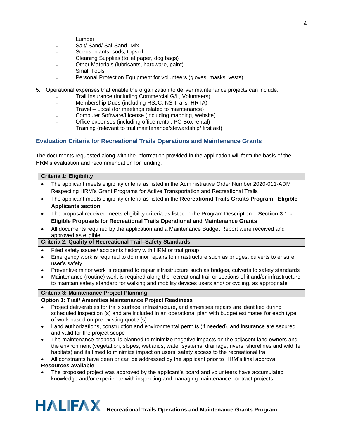- **Lumber**
- Salt/ Sand/ Sal-Sand- Mix
- Seeds, plants; sods; topsoil
- ₋ Cleaning Supplies (toilet paper, dog bags)
- ₋ Other Materials (lubricants, hardware, paint)
- Small Tools
- Personal Protection Equipment for volunteers (gloves, masks, vests)
- 5. Operational expenses that enable the organization to deliver maintenance projects can include:
	- ₋ Trail Insurance (including Commercial G/L, Volunteers)
	- Membership Dues (including RSJC, NS Trails, HRTA)
	- ₋ Travel Local (for meetings related to maintenance)
	- ₋ Computer Software/License (including mapping, website)
	- ₋ Office expenses (including office rental, PO Box rental)
	- ₋ Training (relevant to trail maintenance/stewardship/ first aid)

#### **Evaluation Criteria for Recreational Trails Operations and Maintenance Grants**

The documents requested along with the information provided in the application will form the basis of the HRM's evaluation and recommendation for funding.

#### **Criteria 1: Eligibility**

- The applicant meets eligibility criteria as listed in the Administrative Order Number 2020-011-ADM Respecting HRM's Grant Programs for Active Transportation and Recreational Trails
- The applicant meets eligibility criteria as listed in the **Recreational Trails Grants Program** –**Eligible Applicants section**
- The proposal received meets eligibility criteria as listed in the Program Description **Section 3.1. - Eligible Proposals for Recreational Trails Operational and Maintenance Grants**
- All documents required by the application and a Maintenance Budget Report were received and approved as eligible

#### **Criteria 2: Quality of Recreational Trail–Safety Standards**

- Filed safety issues/ accidents history with HRM or trail group
- Emergency work is required to do minor repairs to infrastructure such as bridges, culverts to ensure user's safety
- Preventive minor work is required to repair infrastructure such as bridges, culverts to safety standards
- Maintenance (routine) work is required along the recreational trail or sections of it and/or infrastructure to maintain safety standard for walking and mobility devices users and/ or cycling, as appropriate

#### **Criteria 3: Maintenance Project Planning**

- **Option 1: Trail/ Amenities Maintenance Project Readiness**
- Project deliverables for trails surface, infrastructure, and amenities repairs are identified during scheduled inspection (s) and are included in an operational plan with budget estimates for each type of work based on pre-existing quote (s)
- Land authorizations, construction and environmental permits (if needed), and insurance are secured and valid for the project scope
- The maintenance proposal is planned to minimize negative impacts on the adjacent land owners and the environment (vegetation, slopes, wetlands, water systems, drainage, rivers, shorelines and wildlife habitats) and its timed to minimize impact on users' safety access to the recreational trail

• All constraints have been or can be addressed by the applicant prior to HRM's final approval

#### **Resources available**

• The proposed project was approved by the applicant's board and volunteers have accumulated knowledge and/or experience with inspecting and managing maintenance contract projects